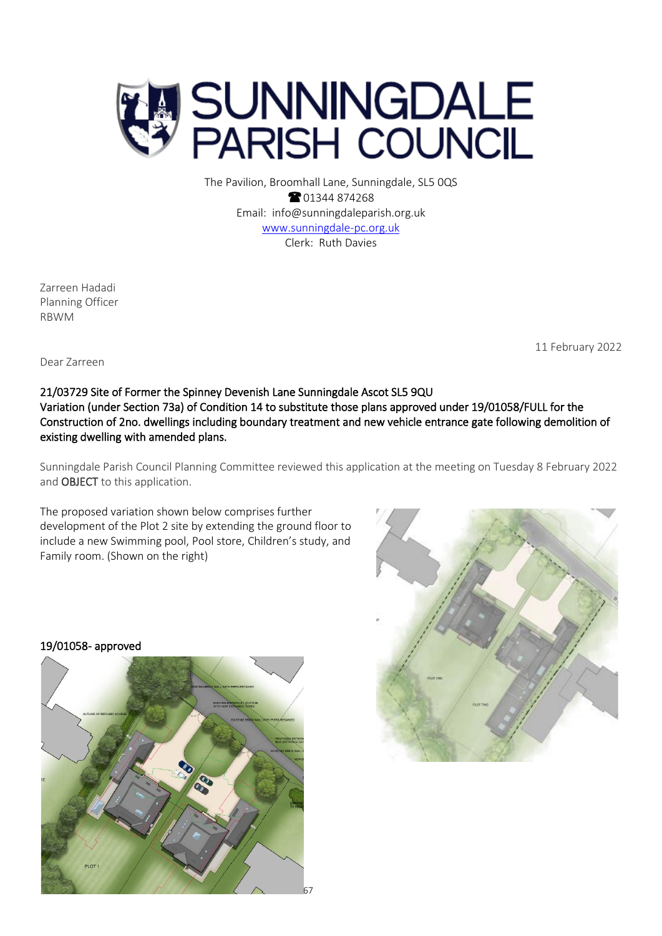

The Pavilion, Broomhall Lane, Sunningdale, SL5 0QS <sup>2</sup>01344 874268 Email: info@sunningdaleparish.org.uk [www.sunningdale-pc.org.uk](http://www.sunningdale-pc.org.uk/) Clerk: Ruth Davies

Zarreen Hadadi Planning Officer RBWM

11 February 2022

Dear Zarreen

## 21/03729 Site of Former the Spinney Devenish Lane Sunningdale Ascot SL5 9QU Variation (under Section 73a) of Condition 14 to substitute those plans approved under 19/01058/FULL for the Construction of 2no. dwellings including boundary treatment and new vehicle entrance gate following demolition of existing dwelling with amended plans.

Sunningdale Parish Council Planning Committee reviewed this application at the meeting on Tuesday 8 February 2022 and OBJECT to this application.

The proposed variation shown below comprises further development of the Plot 2 site by extending the ground floor to include a new Swimming pool, Pool store, Children's study, and Family room. (Shown on the right)



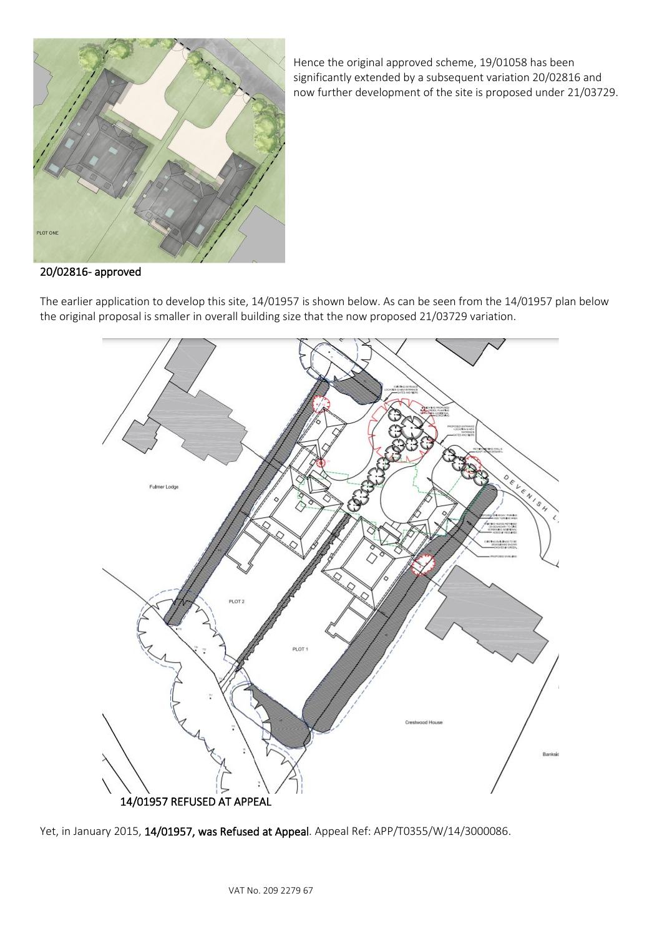

Hence the original approved scheme, 19/01058 has been significantly extended by a subsequent variation 20/02816 and now further development of the site is proposed under 21/03729.

## 20/02816- approved

The earlier application to develop this site, 14/01957 is shown below. As can be seen from the 14/01957 plan below the original proposal is smaller in overall building size that the now proposed 21/03729 variation.